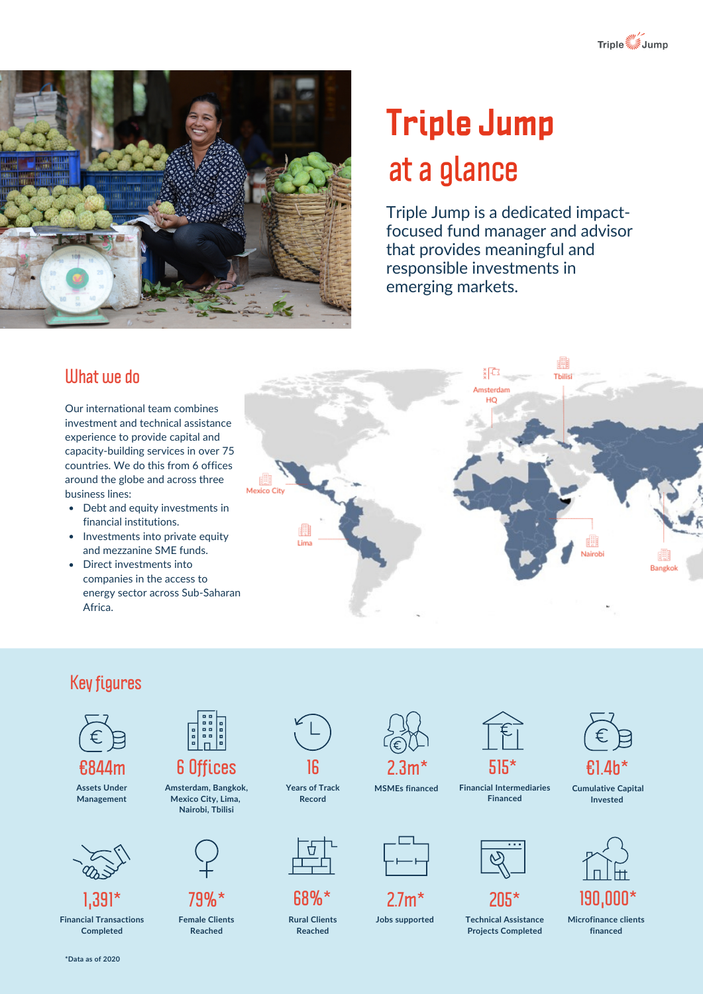



# **Triple Jump at a glance**

Triple Jump is a dedicated impactfocused fund manager and advisor that provides meaningful and responsible investments in emerging markets.

#### **What we do**

Our international team combines investment and technical assistance experience to provide capital and capacity-building services in over 75 countries. We do this from 6 offices around the globe and across three business lines:

- Debt and equity investments in financial institutions.
- Investments into private equity and mezzanine SME funds.
- Direct investments into companies in the access to energy sector across Sub-Saharan Africa.



# **Key figures**



**€844m Assets Under Management**





**Financial Transactions Completed**



**Amsterdam, Bangkok, Mexico City, Lima, Nairobi, Tbilisi**



**79%\***

**Female Clients Reached**



**Years of Track Record**



**68%\* Rural Clients**

**Reached**



**MSMEs financed**

| ▃ |
|---|

**2.7m\***







**Technical Assistance Jobs supported Microfinance clients Projects Completed**



**Cumulative Capital Invested**



**financed**

**\*Data as of 2020**